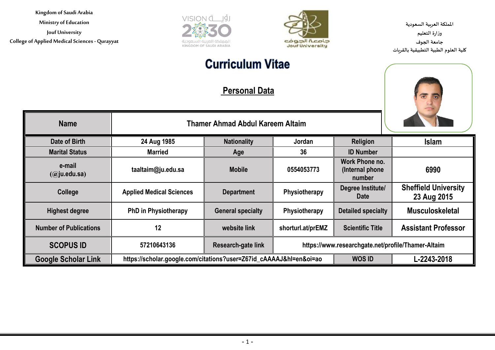**Ministry of Education**

**Jouf University College of Applied Medical Sciences - Qurayyat**





**اململكة العربية السعودية وزارة التعليم جامعة الجوف كلية العلوم الطبية التطبيقية بالقريات**

# **Curriculum Vitae**

**Personal Data**



| <b>Name</b>                   | <b>Thamer Ahmad Abdul Kareem Altaim</b>                            |                          |                                                    |                                              |                                            |
|-------------------------------|--------------------------------------------------------------------|--------------------------|----------------------------------------------------|----------------------------------------------|--------------------------------------------|
| Date of Birth                 | 24 Aug 1985                                                        | <b>Nationality</b>       | Jordan                                             | Religion                                     | <b>Islam</b>                               |
| <b>Marital Status</b>         | <b>Married</b>                                                     | Age                      | 36                                                 | <b>ID Number</b>                             |                                            |
| e-mail<br>$(a)$ ju.edu.sa)    | taaltaim@ju.edu.sa                                                 | <b>Mobile</b>            | 0554053773                                         | Work Phone no.<br>(Internal phone)<br>number | 6990                                       |
| College                       | <b>Applied Medical Sciences</b>                                    | <b>Department</b>        | Physiotherapy                                      | Degree Institute/<br><b>Date</b>             | <b>Sheffield University</b><br>23 Aug 2015 |
| <b>Highest degree</b>         | <b>PhD in Physiotherapy</b>                                        | <b>General specialty</b> | Physiotherapy                                      | <b>Detailed specialty</b>                    | <b>Musculoskeletal</b>                     |
| <b>Number of Publications</b> | 12                                                                 | website link             | shorturl.at/prEMZ                                  | <b>Scientific Title</b>                      | <b>Assistant Professor</b>                 |
| <b>SCOPUS ID</b>              | 57210643136                                                        | Research-gate link       | https://www.researchgate.net/profile/Thamer-Altaim |                                              |                                            |
| <b>Google Scholar Link</b>    | https://scholar.google.com/citations?user=Z67id_cAAAAJ&hl=en&oi=ao |                          |                                                    | <b>WOS ID</b>                                | L-2243-2018                                |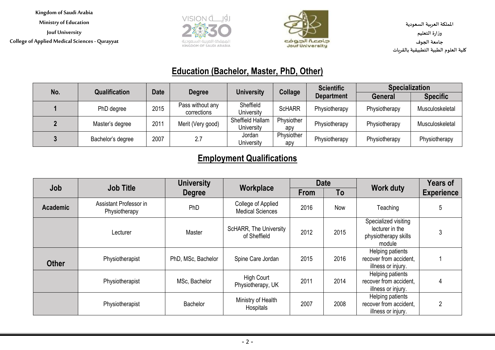**Kingdom of Saudi Arabia Ministry of Education Jouf University College of Applied Medical Sciences - Qurayyat**





**اململكة العربية السعودية وزارة التعليم جامعة الجوف كلية العلوم الطبية التطبيقية بالقريات**

### **Education (Bachelor, Master, PhD, Other)**

| No. | <b>Qualification</b> | <b>Date</b> | <b>Degree</b>     | <b>University</b> | Collage       | <b>Scientific</b> | <b>Specialization</b> |                 |
|-----|----------------------|-------------|-------------------|-------------------|---------------|-------------------|-----------------------|-----------------|
|     |                      |             |                   |                   |               | <b>Department</b> | <b>General</b>        | <b>Specific</b> |
|     | PhD degree           | 2015        | Pass without any  | Sheffield         | <b>ScHARR</b> | Physiotherapy     | Physiotherapy         | Musculoskeletal |
|     |                      |             | corrections       | University        |               |                   |                       |                 |
|     | Master's degree      | 2011        | Merit (Very good) | Sheffield Hallam  | Physiother    | Physiotherapy     | Physiotherapy         | Musculoskeletal |
|     |                      |             |                   | University        | apy           |                   |                       |                 |
|     | Bachelor's degree    | 2007        | 2.7               | Jordan            | Physiother    | Physiotherapy     | Physiotherapy         |                 |
|     |                      |             |                   | University        | apy           |                   |                       | Physiotherapy   |

### **Employment Qualifications**

| Job             | <b>Job Title</b>                        | <b>University</b><br>Workplace |                                               | <b>Date</b> |      | <b>Work duty</b>                                                          | <b>Years of</b>   |
|-----------------|-----------------------------------------|--------------------------------|-----------------------------------------------|-------------|------|---------------------------------------------------------------------------|-------------------|
|                 |                                         | <b>Degree</b>                  |                                               | <b>From</b> | To   |                                                                           | <b>Experience</b> |
| <b>Academic</b> | Assistant Professor in<br>Physiotherapy | PhD                            | College of Applied<br><b>Medical Sciences</b> | 2016        | Now  | Teaching                                                                  | 5                 |
|                 | Lecturer                                | Master                         | <b>ScHARR, The University</b><br>of Sheffield | 2012        | 2015 | Specialized visiting<br>lecturer in the<br>physiotherapy skills<br>module | 3                 |
| <b>Other</b>    | Physiotherapist                         | PhD, MSc, Bachelor             | Spine Care Jordan                             | 2015        | 2016 | Helping patients<br>recover from accident,<br>illness or injury.          |                   |
|                 | Physiotherapist                         | MSc, Bachelor                  | <b>High Court</b><br>Physiotherapy, UK        | 2011        | 2014 | Helping patients<br>recover from accident,<br>illness or injury.          |                   |
|                 | Physiotherapist                         | Bachelor                       | Ministry of Health<br>Hospitals               | 2007        | 2008 | Helping patients<br>recover from accident,<br>illness or injury.          | 2                 |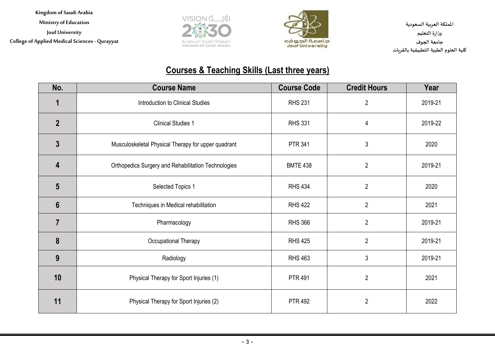**Kingdom of Saudi Arabia Ministry of Education Jouf University College of Applied Medical Sciences - Qurayyat**





**اململكة العربية السعودية وزارة التعليم جامعة الجوف كلية العلوم الطبية التطبيقية بالقريات**

## **Courses & Teaching Skills (Last three years)**

| No.             | <b>Course Name</b>                                  | <b>Course Code</b> | <b>Credit Hours</b> | Year    |
|-----------------|-----------------------------------------------------|--------------------|---------------------|---------|
| 1               | Introduction to Clinical Studies                    | <b>RHS 231</b>     | $\overline{2}$      | 2019-21 |
| $\overline{2}$  | <b>Clinical Studies 1</b>                           | <b>RHS 331</b>     | 4                   | 2019-22 |
| $\overline{3}$  | Musculoskeletal Physical Therapy for upper quadrant | <b>PTR 341</b>     | $\mathbf{3}$        | 2020    |
| 4               | Orthopedics Surgery and Rehabilitation Technologies | <b>BMTE 438</b>    | $\overline{2}$      | 2019-21 |
| $5\phantom{1}$  | Selected Topics 1                                   | <b>RHS 434</b>     | $\overline{2}$      | 2020    |
| $6\phantom{1}6$ | Techniques in Medical rehabilitation                | <b>RHS 422</b>     | $\overline{2}$      | 2021    |
| $\overline{7}$  | Pharmacology                                        | <b>RHS 366</b>     | $\overline{2}$      | 2019-21 |
| 8               | Occupational Therapy                                | <b>RHS 425</b>     | $\overline{2}$      | 2019-21 |
| 9               | Radiology                                           | <b>RHS 463</b>     | 3                   | 2019-21 |
| 10              | Physical Therapy for Sport Injuries (1)             | <b>PTR 491</b>     | $\overline{2}$      | 2021    |
| 11              | Physical Therapy for Sport Injuries (2)             | <b>PTR 492</b>     | $\overline{2}$      | 2022    |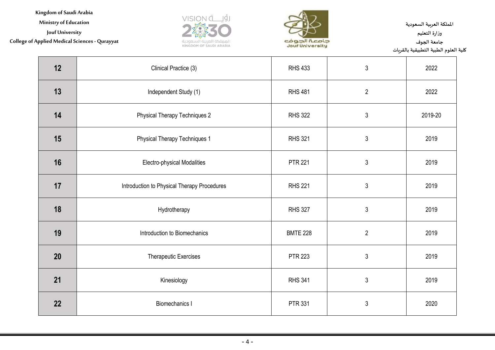**Ministry of Education**

**Jouf University**

#### **College of Applied Medical Sciences - Qurayyat**





**اململكة العربية السعودية وزارة التعليم جامعة الجوف كلية العلوم الطبية التطبيقية بالقريات**

| 12 | Clinical Practice (3)                       | <b>RHS 433</b>  | $\mathfrak{Z}$ | 2022    |
|----|---------------------------------------------|-----------------|----------------|---------|
| 13 | Independent Study (1)                       | <b>RHS 481</b>  | $\overline{2}$ | 2022    |
| 14 | <b>Physical Therapy Techniques 2</b>        | <b>RHS 322</b>  | $\sqrt{3}$     | 2019-20 |
| 15 | <b>Physical Therapy Techniques 1</b>        | <b>RHS 321</b>  | $\sqrt{3}$     | 2019    |
| 16 | Electro-physical Modalities                 | <b>PTR 221</b>  | $\sqrt{3}$     | 2019    |
| 17 | Introduction to Physical Therapy Procedures | <b>RHS 221</b>  | $\mathfrak{Z}$ | 2019    |
| 18 | Hydrotherapy                                | <b>RHS 327</b>  | $\sqrt{3}$     | 2019    |
| 19 | Introduction to Biomechanics                | <b>BMTE 228</b> | $\overline{2}$ | 2019    |
| 20 | <b>Therapeutic Exercises</b>                | <b>PTR 223</b>  | $\mathfrak{Z}$ | 2019    |
| 21 | Kinesiology                                 | <b>RHS 341</b>  | $\sqrt{3}$     | 2019    |
| 22 | <b>Biomechanics I</b>                       | <b>PTR 331</b>  | $\sqrt{3}$     | 2020    |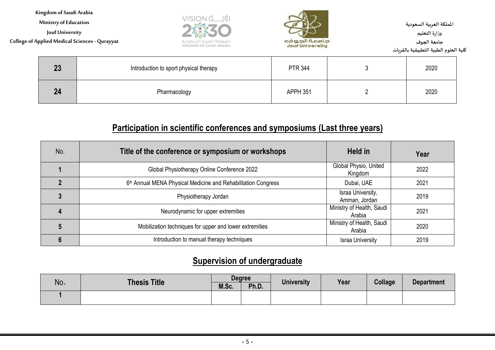**Ministry of Education**

**Jouf University**

**College of Applied Medical Sciences - Qurayyat**





**اململكة العربية السعودية وزارة التعليم جامعة الجوف كلية العلوم الطبية التطبيقية بالقريات**

| 23 | Introduction to sport physical therapy | <b>PTR 344</b> | 2020 |
|----|----------------------------------------|----------------|------|
| 24 | Pharmacology                           | APPH 351       | 2020 |

#### **Participation in scientific conferences and symposiums (Last three years)**

| No. | Title of the conference or symposium or workshops                         | Held in                             | Year |
|-----|---------------------------------------------------------------------------|-------------------------------------|------|
|     | Global Physiotherapy Online Conference 2022                               | Global Physio, United<br>Kingdom    | 2022 |
|     | 6 <sup>th</sup> Annual MENA Physical Medicine and Rehabilitation Congress | Dubai, UAE                          | 2021 |
|     | Physiotherapy Jordan                                                      | Israa University,<br>Amman, Jordan  | 2019 |
|     | Neurodynamic for upper extremities                                        | Ministry of Health, Saudi<br>Arabia | 2021 |
|     | Mobilization techniques for upper and lower extremities                   | Ministry of Health, Saudi<br>Arabia | 2020 |
|     | Introduction to manual therapy techniques                                 | <b>Israa University</b>             | 2019 |

#### **Supervision of undergraduate**

|     | <b>Thesis Title</b> | <b>Degree</b> |       | <b>University</b> |      |         |                   |
|-----|---------------------|---------------|-------|-------------------|------|---------|-------------------|
| No. |                     | M.Sc.         | Ph.D. |                   | Year | Collage | <b>Department</b> |
|     |                     |               |       |                   |      |         |                   |
|     |                     |               |       |                   |      |         |                   |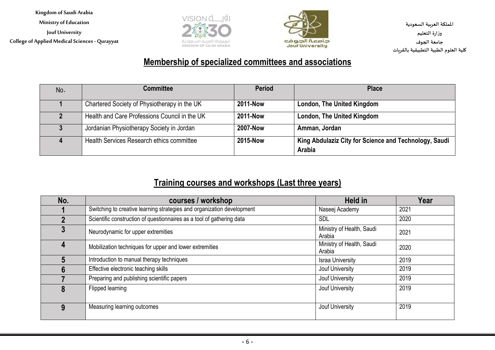**Kingdom of Saudi Arabia Ministry of Education Jouf University College of Applied Medical Sciences - Qurayyat**





**اململكة العربية السعودية وزارة التعليم جامعة الجوف كلية العلوم الطبية التطبيقية بالقريات**

#### **Membership of specialized committees and associations**

| No. | <b>Committee</b>                              | <b>Period</b>   | <b>Place</b>                                                    |
|-----|-----------------------------------------------|-----------------|-----------------------------------------------------------------|
|     | Chartered Society of Physiotherapy in the UK  | 2011-Now        | London, The United Kingdom                                      |
|     | Health and Care Professions Council in the UK | <b>2011-Now</b> | London, The United Kingdom                                      |
|     | Jordanian Physiotherapy Society in Jordan     | <b>2007-Now</b> | Amman, Jordan                                                   |
|     | Health Services Research ethics committee     | 2015-Now        | King Abdulaziz City for Science and Technology, Saudi<br>Arabia |

#### **Training courses and workshops (Last three years)**

| No. | courses / workshop                                                     | <b>Held in</b>                      | Year |
|-----|------------------------------------------------------------------------|-------------------------------------|------|
|     | Switching to creative learning strategies and organization development | Naseej Academy                      | 2021 |
|     | Scientific construction of questionnaires as a tool of gathering data  | <b>SDL</b>                          | 2020 |
|     | Neurodynamic for upper extremities                                     | Ministry of Health, Saudi<br>Arabia | 2021 |
| 4   | Mobilization techniques for upper and lower extremities                | Ministry of Health, Saudi<br>Arabia | 2020 |
|     | Introduction to manual therapy techniques                              | <b>Israa University</b>             | 2019 |
|     | Effective electronic teaching skills                                   | Jouf University                     | 2019 |
|     | Preparing and publishing scientific papers                             | Jouf University                     | 2019 |
|     | Flipped learning                                                       | Jouf University                     | 2019 |
| 9   | Measuring learning outcomes                                            | Jouf University                     | 2019 |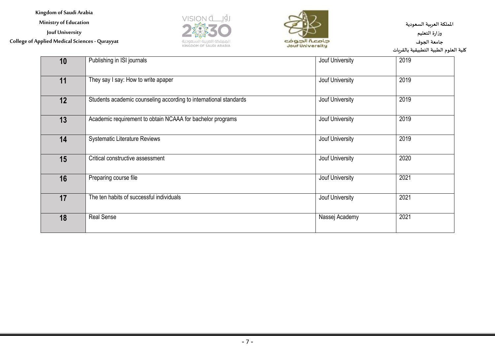**Ministry of Education**

**Jouf University**

**College of Applied Medical Sciences - Qurayyat**





**اململكة العربية السعودية وزارة التعليم جامعة الجوف كلية العلوم الطبية التطبيقية بالقريات**

| 10 | Publishing in ISI journals                                        | Jouf University | 2019 |
|----|-------------------------------------------------------------------|-----------------|------|
| 11 | They say I say: How to write apaper                               | Jouf University | 2019 |
| 12 | Students academic counseling according to international standards | Jouf University | 2019 |
| 13 | Academic requirement to obtain NCAAA for bachelor programs        | Jouf University | 2019 |
| 14 | <b>Systematic Literature Reviews</b>                              | Jouf University | 2019 |
| 15 | Critical constructive assessment                                  | Jouf University | 2020 |
| 16 | Preparing course file                                             | Jouf University | 2021 |
| 17 | The ten habits of successful individuals                          | Jouf University | 2021 |
| 18 | <b>Real Sense</b>                                                 | Nassej Academy  | 2021 |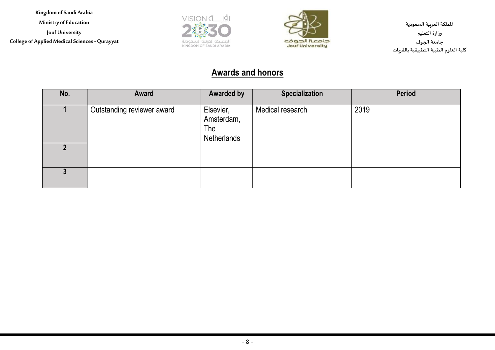**Ministry of Education**

**Jouf University**

**College of Applied Medical Sciences - Qurayyat**





**اململكة العربية السعودية وزارة التعليم جامعة الجوف كلية العلوم الطبية التطبيقية بالقريات**

#### **Awards and honors**

| No. | Award                      | <b>Awarded by</b>                             | <b>Specialization</b> | <b>Period</b> |
|-----|----------------------------|-----------------------------------------------|-----------------------|---------------|
|     | Outstanding reviewer award | Elsevier,<br>Amsterdam,<br>The<br>Netherlands | Medical research      | 2019          |
|     |                            |                                               |                       |               |
|     |                            |                                               |                       |               |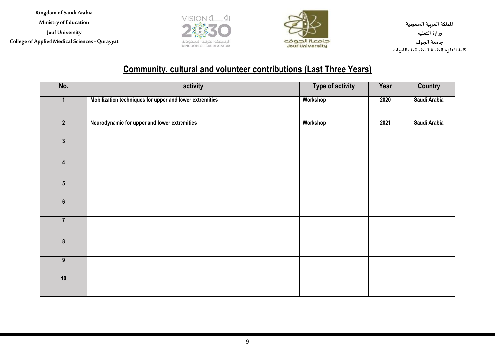**Ministry of Education**

**Jouf University**

**College of Applied Medical Sciences - Qurayyat**





**اململكة العربية السعودية وزارة التعليم جامعة الجوف كلية العلوم الطبية التطبيقية بالقريات**

#### **Community, cultural and volunteer contributions (Last Three Years)**

| No.                     | activity                                                | <b>Type of activity</b> | Year | <b>Country</b> |
|-------------------------|---------------------------------------------------------|-------------------------|------|----------------|
| $\mathbf 1$             | Mobilization techniques for upper and lower extremities | Workshop                | 2020 | Saudi Arabia   |
| $\overline{2}$          | Neurodynamic for upper and lower extremities            | Workshop                | 2021 | Saudi Arabia   |
| $\overline{\mathbf{3}}$ |                                                         |                         |      |                |
| $\overline{\mathbf{4}}$ |                                                         |                         |      |                |
| $5\phantom{.0}$         |                                                         |                         |      |                |
| $6\overline{6}$         |                                                         |                         |      |                |
| $\overline{7}$          |                                                         |                         |      |                |
| $\pmb{8}$               |                                                         |                         |      |                |
| $\overline{9}$          |                                                         |                         |      |                |
| 10                      |                                                         |                         |      |                |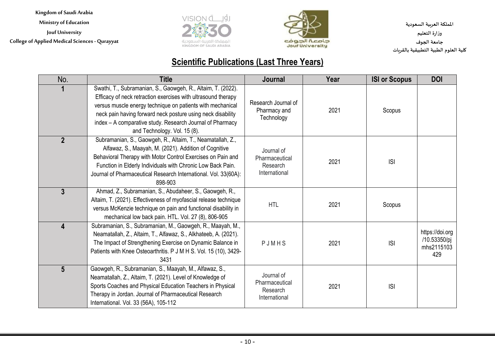**Ministry of Education**

**Jouf University**

**College of Applied Medical Sciences - Qurayyat**





**اململكة العربية السعودية وزارة التعليم جامعة الجوف كلية العلوم الطبية التطبيقية بالقريات**

#### **Scientific Publications (Last Three Years)**

| No.                     | <b>Title</b>                                                                                                                                                                                                                                                                                                                                            | Journal                                                   | Year | <b>ISI or Scopus</b> | <b>DOI</b>                                           |
|-------------------------|---------------------------------------------------------------------------------------------------------------------------------------------------------------------------------------------------------------------------------------------------------------------------------------------------------------------------------------------------------|-----------------------------------------------------------|------|----------------------|------------------------------------------------------|
|                         | Swathi, T., Subramanian, S., Gaowgeh, R., Altaim, T. (2022).<br>Efficacy of neck retraction exercises with ultrasound therapy<br>versus muscle energy technique on patients with mechanical<br>neck pain having forward neck posture using neck disability<br>index - A comparative study. Research Journal of Pharmacy<br>and Technology. Vol. 15 (8). | Research Journal of<br>Pharmacy and<br>Technology         | 2021 | Scopus               |                                                      |
| $\overline{2}$          | Subramanian, S., Gaowgeh, R., Altaim, T., Neamatallah, Z.,<br>Alfawaz, S., Maayah, M. (2021). Addition of Cognitive<br>Behavioral Therapy with Motor Control Exercises on Pain and<br>Function in Elderly Individuals with Chronic Low Back Pain.<br>Journal of Pharmaceutical Research International. Vol. 33(60A):<br>898-903                         | Journal of<br>Pharmaceutical<br>Research<br>International | 2021 | S                    |                                                      |
| 3                       | Ahmad, Z., Subramanian, S., Abudaheer, S., Gaowgeh, R.,<br>Altaim, T. (2021). Effectiveness of myofascial release technique<br>versus McKenzie technique on pain and functional disability in<br>mechanical low back pain. HTL. Vol. 27 (8), 806-905                                                                                                    | <b>HTL</b>                                                | 2021 | Scopus               |                                                      |
| $\overline{\mathbf{4}}$ | Subramanian, S., Subramanian, M., Gaowgeh, R., Maayah, M.,<br>Neamatallah, Z., Altaim, T., Alfawaz, S., Alkhateeb, A. (2021).<br>The Impact of Strengthening Exercise on Dynamic Balance in<br>Patients with Knee Osteoarthritis. P J M H S. Vol. 15 (10), 3429-<br>3431                                                                                | PJMHS                                                     | 2021 | S                    | https://doi.org<br>/10.53350/pj<br>mhs2115103<br>429 |
| 5 <sup>5</sup>          | Gaowgeh, R., Subramanian, S., Maayah, M., Alfawaz, S.,<br>Neamatallah, Z., Altaim, T. (2021). Level of Knowledge of<br>Sports Coaches and Physical Education Teachers in Physical<br>Therapy in Jordan. Journal of Pharmaceutical Research<br>International. Vol. 33 (56A), 105-112                                                                     | Journal of<br>Pharmaceutical<br>Research<br>International | 2021 | S                    |                                                      |